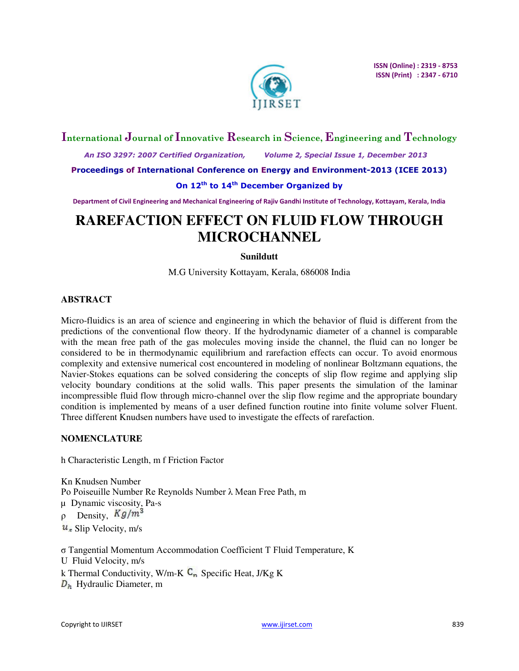

# **International Journal of Innovative Research in Science, Engineering and Technology**

 *An ISO 3297: 2007 Certified Organization, Volume 2, Special Issue 1, December 2013* 

**Proceedings of International Conference on Energy and Environment-2013 (ICEE 2013)** 

# **On 12th to 14th December Organized by**

**Department of Civil Engineering and Mechanical Engineering of Rajiv Gandhi Institute of Technology, Kottayam, Kerala, India** 

# **RAREFACTION EFFECT ON FLUID FLOW THROUGH MICROCHANNEL**

# **Sunildutt**

M.G University Kottayam, Kerala, 686008 India

# **ABSTRACT**

Micro-fluidics is an area of science and engineering in which the behavior of fluid is different from the predictions of the conventional flow theory. If the hydrodynamic diameter of a channel is comparable with the mean free path of the gas molecules moving inside the channel, the fluid can no longer be considered to be in thermodynamic equilibrium and rarefaction effects can occur. To avoid enormous complexity and extensive numerical cost encountered in modeling of nonlinear Boltzmann equations, the Navier-Stokes equations can be solved considering the concepts of slip flow regime and applying slip velocity boundary conditions at the solid walls. This paper presents the simulation of the laminar incompressible fluid flow through micro-channel over the slip flow regime and the appropriate boundary condition is implemented by means of a user defined function routine into finite volume solver Fluent. Three different Knudsen numbers have used to investigate the effects of rarefaction.

# **NOMENCLATURE**

h Characteristic Length, m f Friction Factor

Kn Knudsen Number Po Poiseuille Number Re Reynolds Number λ Mean Free Path, m µ Dynamic viscosity, Pa-s  $\rho$  Density,  $Kg/m^3$  $u_s$  Slip Velocity, m/s

σ Tangential Momentum Accommodation Coefficient T Fluid Temperature, K U Fluid Velocity, m/s k Thermal Conductivity, W/m-K  $C_n$  Specific Heat, J/Kg K  $D_h$  Hydraulic Diameter, m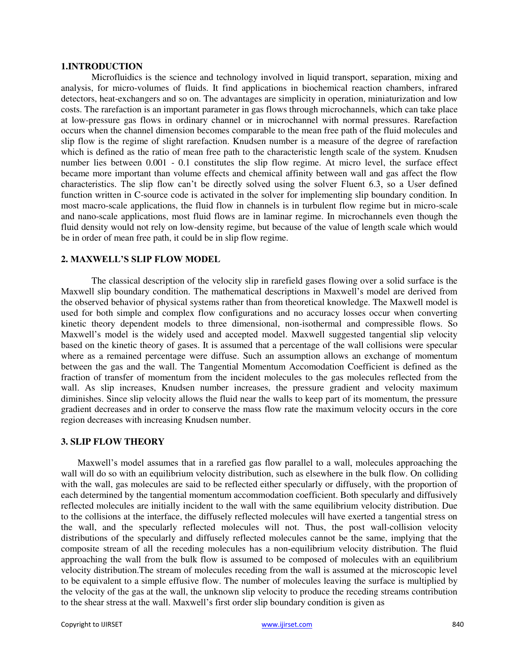#### **1.INTRODUCTION**

Microfluidics is the science and technology involved in liquid transport, separation, mixing and analysis, for micro-volumes of fluids. It find applications in biochemical reaction chambers, infrared detectors, heat-exchangers and so on. The advantages are simplicity in operation, miniaturization and low costs. The rarefaction is an important parameter in gas flows through microchannels, which can take place at low-pressure gas flows in ordinary channel or in microchannel with normal pressures. Rarefaction occurs when the channel dimension becomes comparable to the mean free path of the fluid molecules and slip flow is the regime of slight rarefaction. Knudsen number is a measure of the degree of rarefaction which is defined as the ratio of mean free path to the characteristic length scale of the system. Knudsen number lies between 0.001 - 0.1 constitutes the slip flow regime. At micro level, the surface effect became more important than volume effects and chemical affinity between wall and gas affect the flow characteristics. The slip flow can't be directly solved using the solver Fluent 6.3, so a User defined function written in C-source code is activated in the solver for implementing slip boundary condition. In most macro-scale applications, the fluid flow in channels is in turbulent flow regime but in micro-scale and nano-scale applications, most fluid flows are in laminar regime. In microchannels even though the fluid density would not rely on low-density regime, but because of the value of length scale which would be in order of mean free path, it could be in slip flow regime.

#### **2. MAXWELL'S SLIP FLOW MODEL**

The classical description of the velocity slip in rarefield gases flowing over a solid surface is the Maxwell slip boundary condition. The mathematical descriptions in Maxwell's model are derived from the observed behavior of physical systems rather than from theoretical knowledge. The Maxwell model is used for both simple and complex flow configurations and no accuracy losses occur when converting kinetic theory dependent models to three dimensional, non-isothermal and compressible flows. So Maxwell's model is the widely used and accepted model. Maxwell suggested tangential slip velocity based on the kinetic theory of gases. It is assumed that a percentage of the wall collisions were specular where as a remained percentage were diffuse. Such an assumption allows an exchange of momentum between the gas and the wall. The Tangential Momentum Accomodation Coefficient is defined as the fraction of transfer of momentum from the incident molecules to the gas molecules reflected from the wall. As slip increases, Knudsen number increases, the pressure gradient and velocity maximum diminishes. Since slip velocity allows the fluid near the walls to keep part of its momentum, the pressure gradient decreases and in order to conserve the mass flow rate the maximum velocity occurs in the core region decreases with increasing Knudsen number.

#### **3. SLIP FLOW THEORY**

Maxwell's model assumes that in a rarefied gas flow parallel to a wall, molecules approaching the wall will do so with an equilibrium velocity distribution, such as elsewhere in the bulk flow. On colliding with the wall, gas molecules are said to be reflected either specularly or diffusely, with the proportion of each determined by the tangential momentum accommodation coefficient. Both specularly and diffusively reflected molecules are initially incident to the wall with the same equilibrium velocity distribution. Due to the collisions at the interface, the diffusely reflected molecules will have exerted a tangential stress on the wall, and the specularly reflected molecules will not. Thus, the post wall-collision velocity distributions of the specularly and diffusely reflected molecules cannot be the same, implying that the composite stream of all the receding molecules has a non-equilibrium velocity distribution. The fluid approaching the wall from the bulk flow is assumed to be composed of molecules with an equilibrium velocity distribution.The stream of molecules receding from the wall is assumed at the microscopic level to be equivalent to a simple effusive flow. The number of molecules leaving the surface is multiplied by the velocity of the gas at the wall, the unknown slip velocity to produce the receding streams contribution to the shear stress at the wall. Maxwell's first order slip boundary condition is given as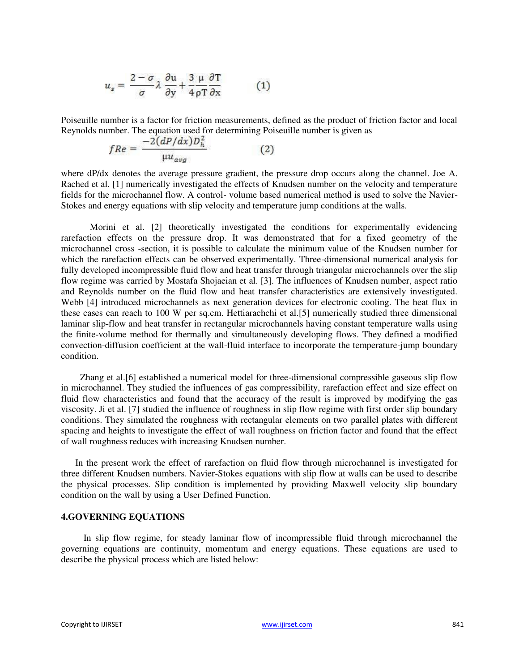$$
u_s = \frac{2-\sigma}{\sigma} \lambda \frac{\partial u}{\partial y} + \frac{3}{4} \frac{\mu}{\rho T} \frac{\partial T}{\partial x}
$$
 (1)

Poiseuille number is a factor for friction measurements, defined as the product of friction factor and local Reynolds number. The equation used for determining Poiseuille number is given as

$$
fRe = \frac{-2(dP/dx)D_h^2}{\mu u_{avg}} \tag{2}
$$

where dP/dx denotes the average pressure gradient, the pressure drop occurs along the channel. Joe A. Rached et al. [1] numerically investigated the effects of Knudsen number on the velocity and temperature fields for the microchannel flow. A control- volume based numerical method is used to solve the Navier-Stokes and energy equations with slip velocity and temperature jump conditions at the walls.

Morini et al. [2] theoretically investigated the conditions for experimentally evidencing rarefaction effects on the pressure drop. It was demonstrated that for a fixed geometry of the microchannel cross -section, it is possible to calculate the minimum value of the Knudsen number for which the rarefaction effects can be observed experimentally. Three-dimensional numerical analysis for fully developed incompressible fluid flow and heat transfer through triangular microchannels over the slip flow regime was carried by Mostafa Shojaeian et al. [3]. The influences of Knudsen number, aspect ratio and Reynolds number on the fluid flow and heat transfer characteristics are extensively investigated. Webb [4] introduced microchannels as next generation devices for electronic cooling. The heat flux in these cases can reach to 100 W per sq.cm. Hettiarachchi et al.[5] numerically studied three dimensional laminar slip-flow and heat transfer in rectangular microchannels having constant temperature walls using the finite-volume method for thermally and simultaneously developing flows. They defined a modified convection-diffusion coefficient at the wall-fluid interface to incorporate the temperature-jump boundary condition.

Zhang et al.[6] established a numerical model for three-dimensional compressible gaseous slip flow in microchannel. They studied the influences of gas compressibility, rarefaction effect and size effect on fluid flow characteristics and found that the accuracy of the result is improved by modifying the gas viscosity. Ji et al. [7] studied the influence of roughness in slip flow regime with first order slip boundary conditions. They simulated the roughness with rectangular elements on two parallel plates with different spacing and heights to investigate the effect of wall roughness on friction factor and found that the effect of wall roughness reduces with increasing Knudsen number.

In the present work the effect of rarefaction on fluid flow through microchannel is investigated for three different Knudsen numbers. Navier-Stokes equations with slip flow at walls can be used to describe the physical processes. Slip condition is implemented by providing Maxwell velocity slip boundary condition on the wall by using a User Defined Function.

#### **4.GOVERNING EQUATIONS**

In slip flow regime, for steady laminar flow of incompressible fluid through microchannel the governing equations are continuity, momentum and energy equations. These equations are used to describe the physical process which are listed below: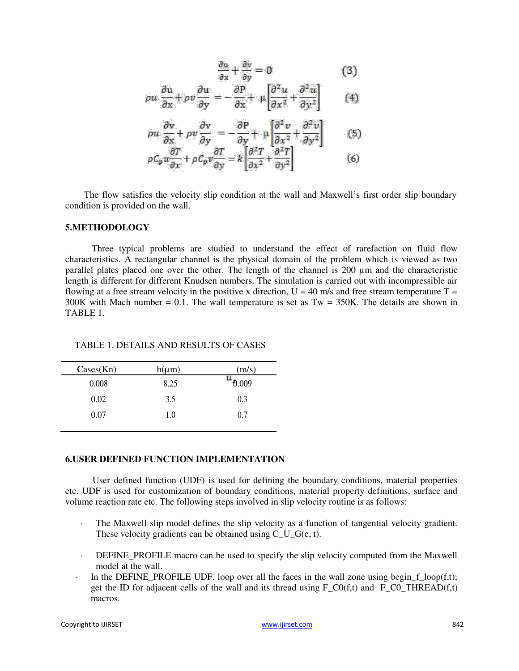$$
\frac{\partial u}{\partial x} + \frac{\partial v}{\partial y} = 0 \tag{3}
$$

$$
\rho u \frac{\partial u}{\partial x} + \rho v \frac{\partial u}{\partial y} = -\frac{\partial P}{\partial x} + \mu \left[ \frac{\partial^2 u}{\partial x^2} + \frac{\partial^2 u}{\partial y^2} \right] \tag{4}
$$

$$
\rho u \frac{\partial v}{\partial x} + \rho v \frac{\partial v}{\partial y} = -\frac{\partial P}{\partial y} + \mu \left[ \frac{\partial^2 v}{\partial x^2} + \frac{\partial^2 v}{\partial y^2} \right] \tag{5}
$$

$$
\rho C_p u \frac{\partial T}{\partial x} + \rho C_p v \frac{\partial T}{\partial y} = k \left[ \frac{\partial^2 T}{\partial x^2} + \frac{\partial^2 T}{\partial y^2} \right]
$$
(6)

The flow satisfies the velocity slip condition at the wall and Maxwell's first order slip boundary condition is provided on the wall.

#### **5.METHODOLOGY**

Three typical problems are studied to understand the effect of rarefaction on fluid flow characteristics. A rectangular channel is the physical domain of the problem which is viewed as two parallel plates placed one over the other. The length of the channel is 200 µm and the characteristic length is different for different Knudsen numbers. The simulation is carried out with incompressible air flowing at a free stream velocity in the positive x direction,  $U = 40$  m/s and free stream temperature T =  $300K$  with Mach number = 0.1. The wall temperature is set as Tw = 350K. The details are shown in TABLE 1.

TABLE 1. DETAILS AND RESULTS OF CASES

| $\text{Cases}(\text{Kn})$ | $h(\mu m)$ | (m/s) |
|---------------------------|------------|-------|
| 0.008                     | 8.25       | 0.009 |
| 0.02                      | 3.5        | 0.3   |
| 0.07                      | 1.0        | 0.7   |

#### **6.USER DEFINED FUNCTION IMPLEMENTATION**

User defined function (UDF) is used for defining the boundary conditions, material properties etc. UDF is used for customization of boundary conditions, material property definitions, surface and volume reaction rate etc. The following steps involved in slip velocity routine is as follows:

- The Maxwell slip model defines the slip velocity as a function of tangential velocity gradient. These velocity gradients can be obtained using C\_U\_G(c, t).
- · DEFINE\_PROFILE macro can be used to specify the slip velocity computed from the Maxwell model at the wall.
- In the DEFINE\_PROFILE UDF, loop over all the faces in the wall zone using begin  $f_{\text{loop}}(f,t)$ ; get the ID for adjacent cells of the wall and its thread using  $F_C(0(f,t))$  and  $F_C(0_THREAD(f,t))$ macros.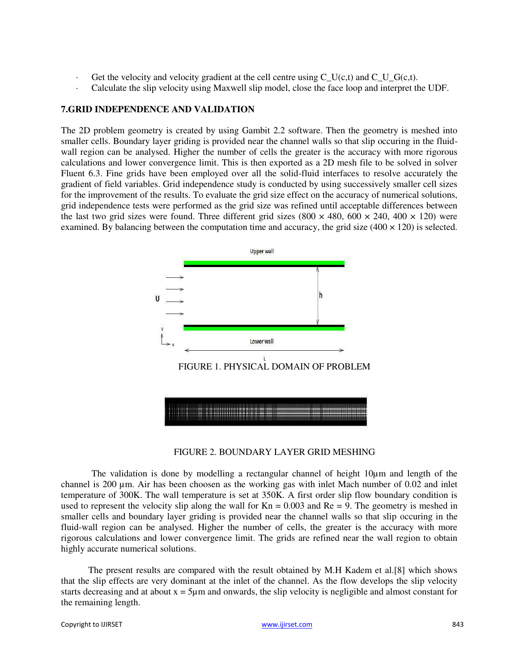- $\cdot$  Get the velocity and velocity gradient at the cell centre using C U(c,t) and C U G(c,t).
- Calculate the slip velocity using Maxwell slip model, close the face loop and interpret the UDF.

## **7.GRID INDEPENDENCE AND VALIDATION**

The 2D problem geometry is created by using Gambit 2.2 software. Then the geometry is meshed into smaller cells. Boundary layer griding is provided near the channel walls so that slip occuring in the fluidwall region can be analysed. Higher the number of cells the greater is the accuracy with more rigorous calculations and lower convergence limit. This is then exported as a 2D mesh file to be solved in solver Fluent 6.3. Fine grids have been employed over all the solid-fluid interfaces to resolve accurately the gradient of field variables. Grid independence study is conducted by using successively smaller cell sizes for the improvement of the results. To evaluate the grid size effect on the accuracy of numerical solutions, grid independence tests were performed as the grid size was refined until acceptable differences between the last two grid sizes were found. Three different grid sizes (800  $\times$  480, 600  $\times$  240, 400  $\times$  120) were examined. By balancing between the computation time and accuracy, the grid size  $(400 \times 120)$  is selected.



#### FIGURE 2. BOUNDARY LAYER GRID MESHING

The validation is done by modelling a rectangular channel of height  $10\mu$ m and length of the channel is 200 µm. Air has been choosen as the working gas with inlet Mach number of 0.02 and inlet temperature of 300K. The wall temperature is set at 350K. A first order slip flow boundary condition is used to represent the velocity slip along the wall for  $Kn = 0.003$  and  $Re = 9$ . The geometry is meshed in smaller cells and boundary layer griding is provided near the channel walls so that slip occuring in the fluid-wall region can be analysed. Higher the number of cells, the greater is the accuracy with more rigorous calculations and lower convergence limit. The grids are refined near the wall region to obtain highly accurate numerical solutions.

The present results are compared with the result obtained by M.H Kadem et al.[8] which shows that the slip effects are very dominant at the inlet of the channel. As the flow develops the slip velocity starts decreasing and at about  $x = 5\mu m$  and onwards, the slip velocity is negligible and almost constant for the remaining length.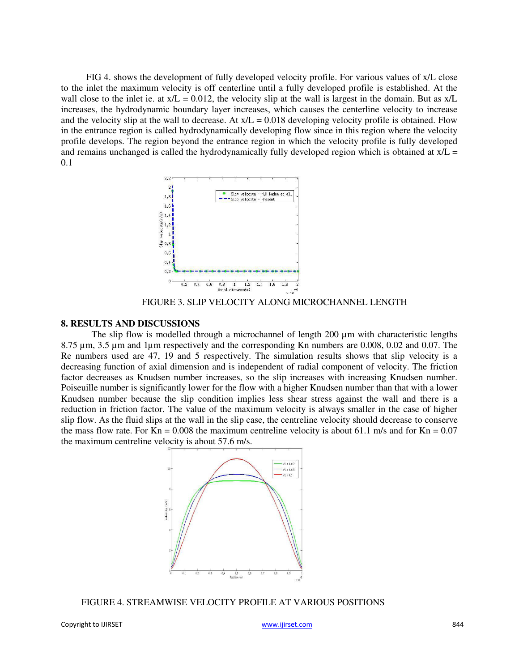FIG 4. shows the development of fully developed velocity profile. For various values of x/L close to the inlet the maximum velocity is off centerline until a fully developed profile is established. At the wall close to the inlet ie. at  $x/L = 0.012$ , the velocity slip at the wall is largest in the domain. But as  $x/L$ increases, the hydrodynamic boundary layer increases, which causes the centerline velocity to increase and the velocity slip at the wall to decrease. At  $x/L = 0.018$  developing velocity profile is obtained. Flow in the entrance region is called hydrodynamically developing flow since in this region where the velocity profile develops. The region beyond the entrance region in which the velocity profile is fully developed and remains unchanged is called the hydrodynamically fully developed region which is obtained at  $x/L =$ 0.1



FIGURE 3. SLIP VELOCITY ALONG MICROCHANNEL LENGTH

#### **8. RESULTS AND DISCUSSIONS**

The slip flow is modelled through a microchannel of length 200  $\mu$ m with characteristic lengths 8.75 µm, 3.5 µm and 1µm respectively and the corresponding Kn numbers are 0.008, 0.02 and 0.07. The Re numbers used are 47, 19 and 5 respectively. The simulation results shows that slip velocity is a decreasing function of axial dimension and is independent of radial component of velocity. The friction factor decreases as Knudsen number increases, so the slip increases with increasing Knudsen number. Poiseuille number is significantly lower for the flow with a higher Knudsen number than that with a lower Knudsen number because the slip condition implies less shear stress against the wall and there is a reduction in friction factor. The value of the maximum velocity is always smaller in the case of higher slip flow. As the fluid slips at the wall in the slip case, the centreline velocity should decrease to conserve the mass flow rate. For  $Kn = 0.008$  the maximum centreline velocity is about 61.1 m/s and for  $Kn = 0.07$ the maximum centreline velocity is about 57.6 m/s.



FIGURE 4. STREAMWISE VELOCITY PROFILE AT VARIOUS POSITIONS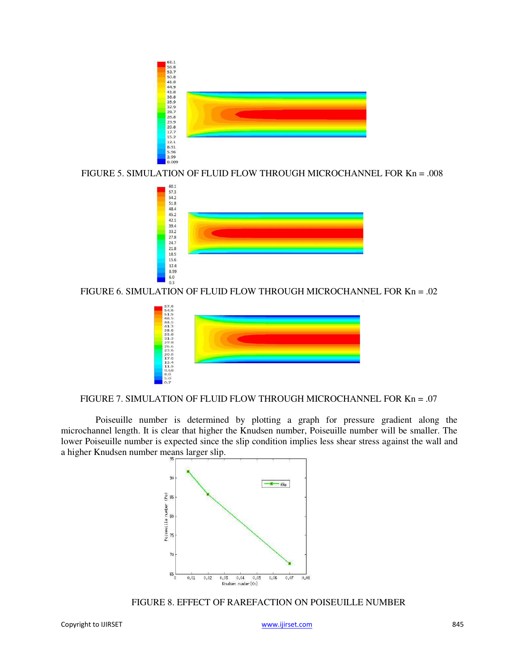

FIGURE 5. SIMULATION OF FLUID FLOW THROUGH MICROCHANNEL FOR Kn = .008



FIGURE 6. SIMULATION OF FLUID FLOW THROUGH MICROCHANNEL FOR Kn = .02



### FIGURE 7. SIMULATION OF FLUID FLOW THROUGH MICROCHANNEL FOR Kn = .07

Poiseuille number is determined by plotting a graph for pressure gradient along the microchannel length. It is clear that higher the Knudsen number, Poiseuille number will be smaller. The lower Poiseuille number is expected since the slip condition implies less shear stress against the wall and a higher Knudsen number means larger slip.



FIGURE 8. EFFECT OF RAREFACTION ON POISEUILLE NUMBER